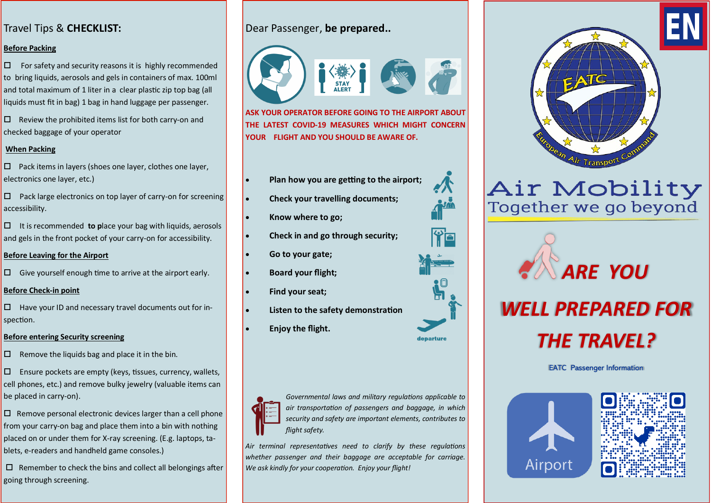## Travel Tips & **CHECKLIST:**

## **Before Packing**

 $\square$  For safety and security reasons it is highly recommended to bring liquids, aerosols and gels in containers of max. 100ml and total maximum of 1 liter in a clear plastic zip top bag (all liquids must fit in bag) 1 bag in hand luggage per passenger.

 $\square$  Review the prohibited items list for both carry-on and checked baggage of your operator

## **When Packing**

 $\square$  Pack items in layers (shoes one layer, clothes one layer, electronics one layer, etc.)

 $\square$  Pack large electronics on top layer of carry-on for screening accessibility.

 It is recommended **to p**lace your bag with liquids, aerosols and gels in the front pocket of your carry-on for accessibility.

## **Before Leaving for the Airport**

 $\square$  Give yourself enough time to arrive at the airport early.

## **Before Check-in point**

 $\square$  Have your ID and necessary travel documents out for inspection.

## **Before entering Security screening**

 $\square$  Remove the liquids bag and place it in the bin.

 $\square$  Ensure pockets are empty (keys, tissues, currency, wallets, cell phones, etc.) and remove bulky jewelry (valuable items can be placed in carry-on).

 $\square$  Remove personal electronic devices larger than a cell phone from your carry-on bag and place them into a bin with nothing placed on or under them for X-ray screening. (E.g. laptops, tablets, e-readers and handheld game consoles.)

 $\Box$  Remember to check the bins and collect all belongings after going through screening.

# Dear Passenger, **be prepared..**

**STAY** 

**ASK YOUR OPERATOR BEFORE GOING TO THE AIRPORT ABOUT THE LATEST COVID-19 MEASURES WHICH MIGHT CONCERN YOUR FLIGHT AND YOU SHOULD BE AWARE OF.** 

- **Plan how you are getting to the airport;**
- **Check your travelling documents;**
- **Know where to go;**
- **Check in and go through security;**
- **Go to your gate;**
- **Board your flight;**
- **Find your seat;**
- **Listen to the safety demonstration**
- **Enjoy the flight.**



*Governmental laws and military regulations applicable to air transportation of passengers and baggage, in which security and safety are important elements, contributes to flight safety.* 

*Air terminal representatives need to clarify by these regulations whether passenger and their baggage are acceptable for carriage. We ask kindly for your cooperation. Enjoy your flight!*



# Air Mobility<br>Together we go beyond





EATC Passenger Information